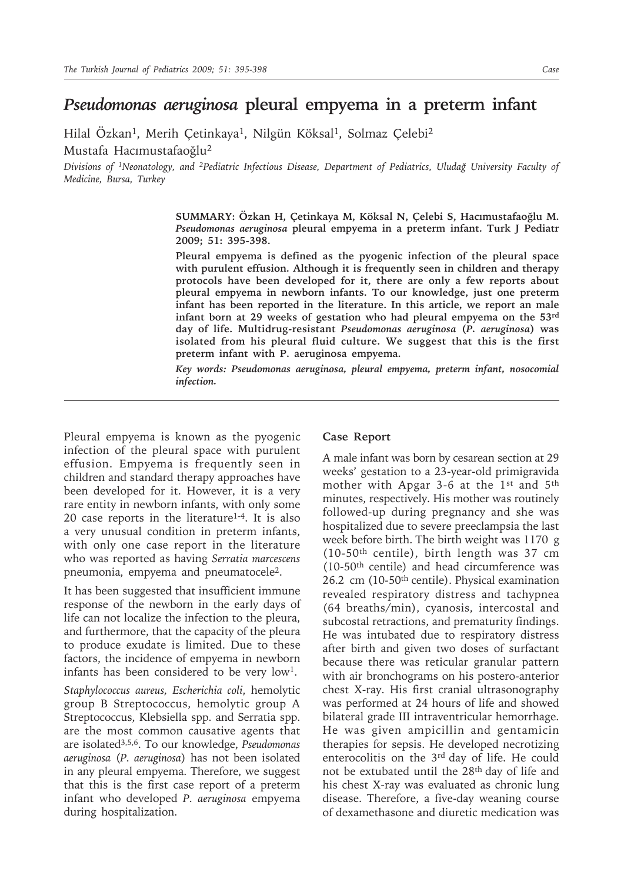## *Pseudomonas aeruginosa* **pleural empyema in a preterm infant**

Hilal Özkan<sup>1</sup>, Merih Çetinkaya<sup>1</sup>, Nilgün Köksal<sup>1</sup>, Solmaz Çelebi<sup>2</sup> Mustafa Hacımustafaoğlu<sup>2</sup>

*Divisions of <sup>1</sup>Neonatology, and <sup>2</sup>Pediatric Infectious Disease, Department of Pediatrics, Uludağ University Faculty of Medicine, Bursa, Turkey*

> **SUMMARY: Özkan H, Çetinkaya M, Köksal N, Çelebi S, Hacımustafaoğlu M.**  *Pseudomonas aeruginosa* **pleural empyema in a preterm infant. Turk J Pediatr 2009; 51: 395-398.**

> **Pleural empyema is defined as the pyogenic infection of the pleural space with purulent effusion. Although it is frequently seen in children and therapy protocols have been developed for it, there are only a few reports about pleural empyema in newborn infants. To our knowledge, just one preterm infant has been reported in the literature. In this article, we report an male infant born at 29 weeks of gestation who had pleural empyema on the 53rd day of life. Multidrug-resistant** *Pseudomonas aeruginosa* **(***P. aeruginosa***) was isolated from his pleural fluid culture. We suggest that this is the first preterm infant with P. aeruginosa empyema.**

> *Key words: Pseudomonas aeruginosa, pleural empyema, preterm infant, nosocomial infection.*

Pleural empyema is known as the pyogenic infection of the pleural space with purulent effusion. Empyema is frequently seen in children and standard therapy approaches have been developed for it. However, it is a very rare entity in newborn infants, with only some 20 case reports in the literature<sup>1-4</sup>. It is also a very unusual condition in preterm infants, with only one case report in the literature who was reported as having *Serratia marcescens* pneumonia, empyema and pneumatocele<sup>2</sup>.

It has been suggested that insufficient immune response of the newborn in the early days of life can not localize the infection to the pleura, and furthermore, that the capacity of the pleura to produce exudate is limited. Due to these factors, the incidence of empyema in newborn infants has been considered to be very low<sup>1</sup>.

*Staphylococcus aureus, Escherichia coli*, hemolytic group B Streptococcus, hemolytic group A Streptococcus, Klebsiella spp. and Serratia spp. are the most common causative agents that are isolated3,5,6. To our knowledge, *Pseudomonas aeruginosa* (*P. aeruginosa*) has not been isolated in any pleural empyema. Therefore, we suggest that this is the first case report of a preterm infant who developed *P. aeruginosa* empyema during hospitalization.

## **Case Report**

A male infant was born by cesarean section at 29 weeks' gestation to a 23-year-old primigravida mother with Apgar 3-6 at the 1st and 5th minutes, respectively. His mother was routinely followed-up during pregnancy and she was hospitalized due to severe preeclampsia the last week before birth. The birth weight was 1170 g (10-50th centile), birth length was 37 cm (10-50th centile) and head circumference was 26.2 cm (10-50th centile). Physical examination revealed respiratory distress and tachypnea (64 breaths/min), cyanosis, intercostal and subcostal retractions, and prematurity findings. He was intubated due to respiratory distress after birth and given two doses of surfactant because there was reticular granular pattern with air bronchograms on his postero-anterior chest X-ray. His first cranial ultrasonography was performed at 24 hours of life and showed bilateral grade III intraventricular hemorrhage. He was given ampicillin and gentamicin therapies for sepsis. He developed necrotizing enterocolitis on the 3rd day of life. He could not be extubated until the 28th day of life and his chest X-ray was evaluated as chronic lung disease. Therefore, a five-day weaning course of dexamethasone and diuretic medication was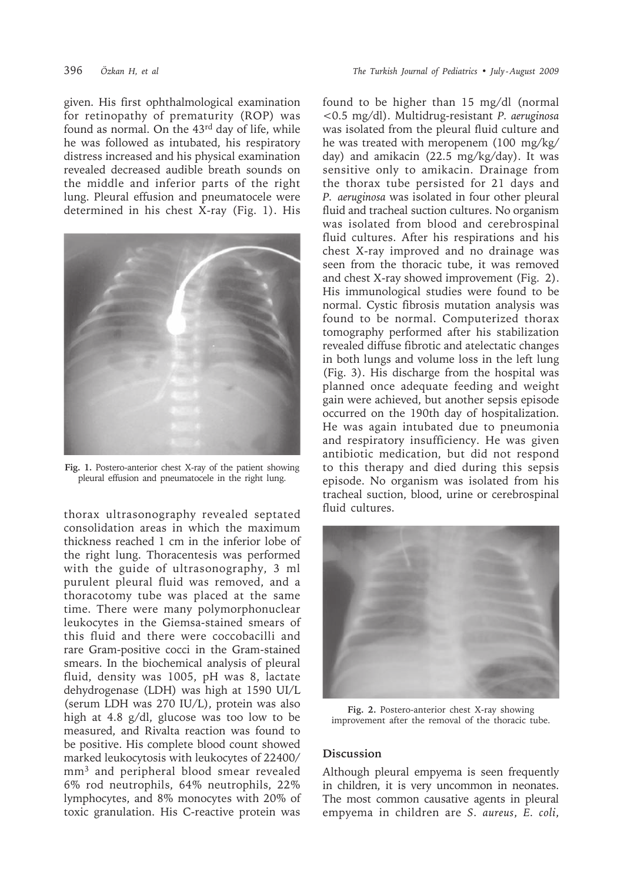given. His first ophthalmological examination for retinopathy of prematurity (ROP) was found as normal. On the 43rd day of life, while he was followed as intubated, his respiratory distress increased and his physical examination revealed decreased audible breath sounds on the middle and inferior parts of the right lung. Pleural effusion and pneumatocele were determined in his chest X-ray (Fig. 1). His



**Fig. 1.** Postero-anterior chest X-ray of the patient showing pleural effusion and pneumatocele in the right lung.

thorax ultrasonography revealed septated consolidation areas in which the maximum thickness reached 1 cm in the inferior lobe of the right lung. Thoracentesis was performed with the guide of ultrasonography, 3 ml purulent pleural fluid was removed, and a thoracotomy tube was placed at the same time. There were many polymorphonuclear leukocytes in the Giemsa-stained smears of this fluid and there were coccobacilli and rare Gram-positive cocci in the Gram-stained smears. In the biochemical analysis of pleural fluid, density was 1005, pH was 8, lactate dehydrogenase (LDH) was high at 1590 UI/L (serum LDH was 270 IU/L), protein was also high at 4.8 g/dl, glucose was too low to be measured, and Rivalta reaction was found to be positive. His complete blood count showed marked leukocytosis with leukocytes of 22400/ mm<sup>3</sup> and peripheral blood smear revealed 6% rod neutrophils, 64% neutrophils, 22% lymphocytes, and 8% monocytes with 20% of toxic granulation. His C-reactive protein was found to be higher than 15 mg/dl (normal <0.5 mg/dl). Multidrug-resistant *P. aeruginosa* was isolated from the pleural fluid culture and he was treated with meropenem (100 mg/kg/ day) and amikacin (22.5 mg/kg/day). It was sensitive only to amikacin. Drainage from the thorax tube persisted for 21 days and *P. aeruginosa* was isolated in four other pleural fluid and tracheal suction cultures. No organism was isolated from blood and cerebrospinal fluid cultures. After his respirations and his chest X-ray improved and no drainage was seen from the thoracic tube, it was removed and chest X-ray showed improvement (Fig. 2). His immunological studies were found to be normal. Cystic fibrosis mutation analysis was found to be normal. Computerized thorax tomography performed after his stabilization revealed diffuse fibrotic and atelectatic changes in both lungs and volume loss in the left lung (Fig. 3). His discharge from the hospital was planned once adequate feeding and weight gain were achieved, but another sepsis episode occurred on the 190th day of hospitalization. He was again intubated due to pneumonia and respiratory insufficiency. He was given antibiotic medication, but did not respond to this therapy and died during this sepsis episode. No organism was isolated from his tracheal suction, blood, urine or cerebrospinal fluid cultures.



**Fig. 2.** Postero-anterior chest X-ray showing improvement after the removal of the thoracic tube.

## **Discussion**

Although pleural empyema is seen frequently in children, it is very uncommon in neonates. The most common causative agents in pleural empyema in children are *S. aureus*, *E. coli*,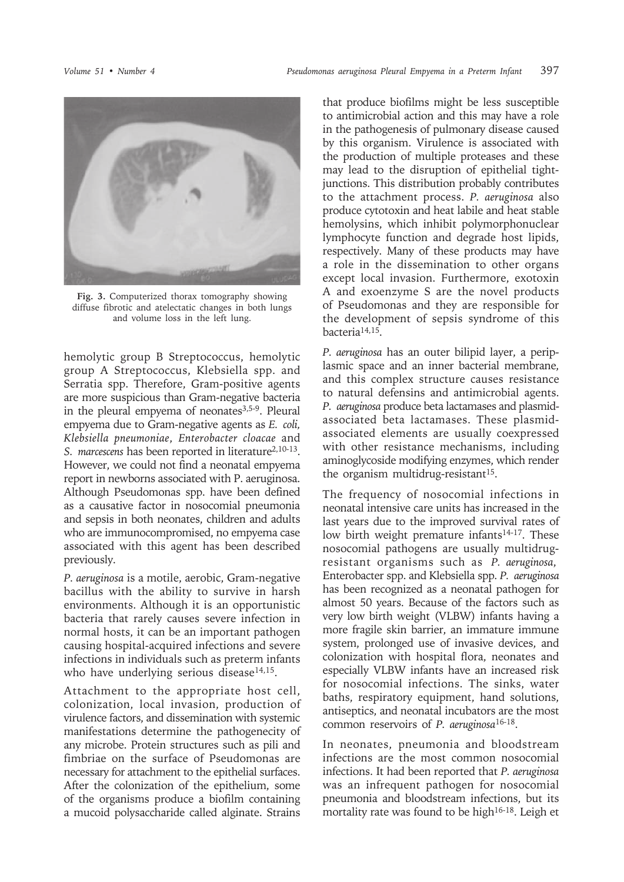

**Fig. 3.** Computerized thorax tomography showing diffuse fibrotic and atelectatic changes in both lungs and volume loss in the left lung.

hemolytic group B Streptococcus, hemolytic group A Streptococcus, Klebsiella spp. and Serratia spp. Therefore, Gram-positive agents are more suspicious than Gram-negative bacteria in the pleural empyema of neonates<sup>3,5-9</sup>. Pleural empyema due to Gram-negative agents as *E. coli, Klebsiella pneumoniae*, *Enterobacter cloacae* and *S. marcescens* has been reported in literature<sup>2,10-13</sup>. However, we could not find a neonatal empyema report in newborns associated with P. aeruginosa. Although Pseudomonas spp. have been defined as a causative factor in nosocomial pneumonia and sepsis in both neonates, children and adults who are immunocompromised, no empyema case associated with this agent has been described previously.

*P. aeruginosa* is a motile, aerobic, Gram-negative bacillus with the ability to survive in harsh environments. Although it is an opportunistic bacteria that rarely causes severe infection in normal hosts, it can be an important pathogen causing hospital-acquired infections and severe infections in individuals such as preterm infants who have underlying serious disease<sup>14,15</sup>.

Attachment to the appropriate host cell, colonization, local invasion, production of virulence factors, and dissemination with systemic manifestations determine the pathogenecity of any microbe. Protein structures such as pili and fimbriae on the surface of Pseudomonas are necessary for attachment to the epithelial surfaces. After the colonization of the epithelium, some of the organisms produce a biofilm containing a mucoid polysaccharide called alginate. Strains

that produce biofilms might be less susceptible to antimicrobial action and this may have a role in the pathogenesis of pulmonary disease caused by this organism. Virulence is associated with the production of multiple proteases and these may lead to the disruption of epithelial tightjunctions. This distribution probably contributes to the attachment process. *P. aeruginosa* also produce cytotoxin and heat labile and heat stable hemolysins, which inhibit polymorphonuclear lymphocyte function and degrade host lipids, respectively. Many of these products may have a role in the dissemination to other organs except local invasion. Furthermore, exotoxin A and exoenzyme S are the novel products of Pseudomonas and they are responsible for the development of sepsis syndrome of this bacteria14,15.

*P. aeruginosa* has an outer bilipid layer, a periplasmic space and an inner bacterial membrane, and this complex structure causes resistance to natural defensins and antimicrobial agents. *P. aeruginosa* produce beta lactamases and plasmidassociated beta lactamases. These plasmidassociated elements are usually coexpressed with other resistance mechanisms, including aminoglycoside modifying enzymes, which render the organism multidrug-resistant<sup>15</sup>.

The frequency of nosocomial infections in neonatal intensive care units has increased in the last years due to the improved survival rates of low birth weight premature infants<sup>14-17</sup>. These nosocomial pathogens are usually multidrugresistant organisms such as *P. aeruginosa*, Enterobacter spp. and Klebsiella spp. *P. aeruginosa* has been recognized as a neonatal pathogen for almost 50 years. Because of the factors such as very low birth weight (VLBW) infants having a more fragile skin barrier, an immature immune system, prolonged use of invasive devices, and colonization with hospital flora, neonates and especially VLBW infants have an increased risk for nosocomial infections. The sinks, water baths, respiratory equipment, hand solutions, antiseptics, and neonatal incubators are the most common reservoirs of *P. aeruginosa*16-18.

In neonates, pneumonia and bloodstream infections are the most common nosocomial infections. It had been reported that *P. aeruginosa* was an infrequent pathogen for nosocomial pneumonia and bloodstream infections, but its mortality rate was found to be high<sup>16-18</sup>. Leigh et